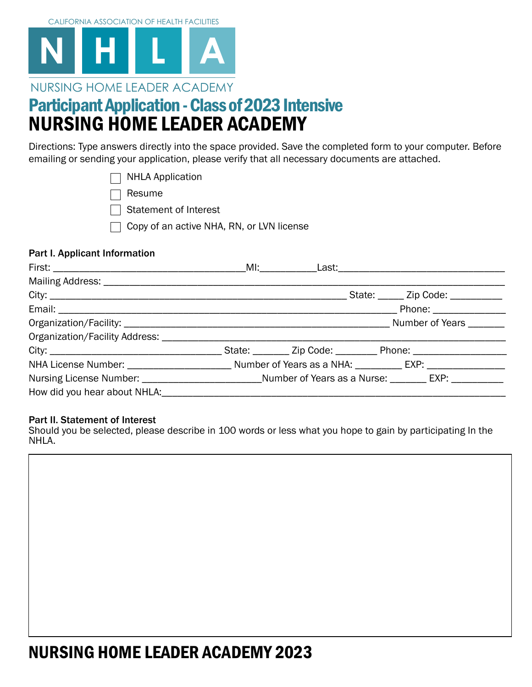

### NURSING HOME LEADER ACADEMY

### NURSING HOME LEADER ACADEMY Participant Application - Class of 2023 Intensive

Directions: Type answers directly into the space provided. Save the completed form to your computer. Before emailing or sending your application, please verify that all necessary documents are attached.

|  | $\Box$ NHLA Application |
|--|-------------------------|
|  |                         |

Resume

 $\Box$  Statement of Interest

 $\Box$  Copy of an active NHA, RN, or LVN license

#### Part I. Applicant Information

#### Part II. Statement of Interest

Should you be selected, please describe in 100 words or less what you hope to gain by participating In the NHLA.



## NURSING HOME LEADER ACADEMY 2023